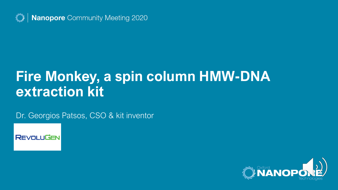

Nanopore Community Meeting 2020

# **Fire Monkey, a spin column HMW-DNA extraction kit**

Dr. Georgios Patsos, CSO & kit inventor



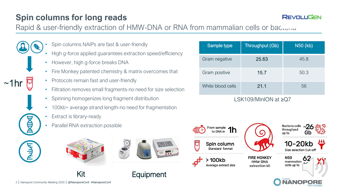# **Spin columns for long reads**

## **REVOLUGEN**

Rapid & user-friendly extraction of HMW-DNA or RNA from mammalian cells or bacteria

- Spin columns NAIPs are fast & user-friendly
	- High g-force applied guarantees extraction speed/efficiency
	- However, high g-force breaks DNA
	- Fire Monkey patented chemistry & matrix overcomes that
	- Protocols remain fast and user-friendly
	- Filtration removes small fragments-no need for size selection

Kit **Equipment** 

- Spinning homogenizes long fragment distribution
- 100kb+ average strand length-no need for fragmentation
- Extract is library-ready

 $~1$ hr

• Parallel RNA extraction possible





| Sample type          | Throughput (Gb) | <u>N50 (kb)</u> |
|----------------------|-----------------|-----------------|
| Gram negative        | 25.63           | 45.8            |
| Gram positive        | 15.7            | 50.3            |
| White blood cells    | 21.1            | 56              |
| LSK109/MinION at ≥Q7 |                 |                 |



2 │ Nanopore Community Meeting 2020 │ @NanoporeConf #NanoporeConf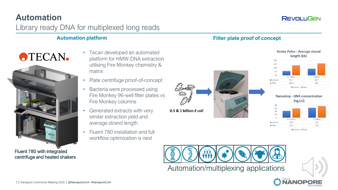## **REVOLUGEN**

## **Automation** Library ready DNA for multiplexed long reads

### Automation platform **Automation platform Filter plate proof of concept**

**OTECAN.** 



- Tecan developed an automated platform for HMW-DNA extraction utilising Fire Monkey chemistry & matrix
- Plate centrifuge proof-of-concept
- Bacteria were processed using Fire Monkey 96-well filter plates vs Fire Monkey columns
- Generated extracts with very similar extraction yield and average strand length
- Fluent 780 installation and full workflow optimization is next

0.5 & 1 billion E coli



#### Femto Pulse - Average strand length (kb) 0.5 billion 1 hillion Column 95.7 98.9  $B$ Dlate 103.4 106 Column **B** Plate







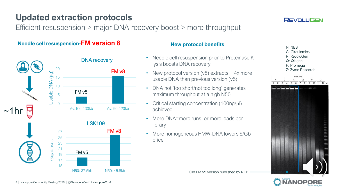# **Updated extraction protocols**

Efficient resuspension > major DNA recovery boost > more throughput

## **Needle cell resuspension-FM version 8 New protocol benefits**



- Needle cell resuspension prior to Proteinase K lysis boosts DNA recovery
- New protocol version  $(v8)$  extracts  $\sim$  4x more usable DNA than previous version (v5)
- DNA not 'too short/not too long' generates maximum throughput at a high N50
- Critical starting concentration  $(100nq/\mu l)$ achieved
- More DNA=more runs, or more loads per library
- More homogeneous HMW-DNA lowers \$/Gb price





N: NEB C: Circulomics R: RevoluGen Q: Qiagen